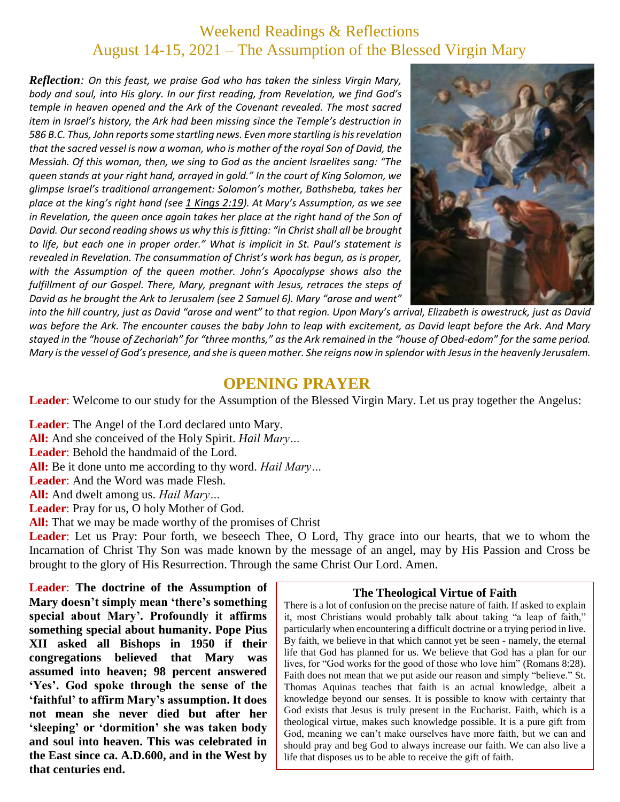## Weekend Readings & Reflections August 14-15, 2021 – The Assumption of the Blessed Virgin Mary

*Reflection: On this feast, we praise God who has taken the sinless Virgin Mary, body and soul, into His glory. In our first reading, from Revelation, we find God's temple in heaven opened and the Ark of the Covenant revealed. The most sacred item in Israel's history, the Ark had been missing since the Temple's destruction in 586 B.C. Thus, John reports some startling news. Even more startling is his revelation that the sacred vessel is now a woman, who is mother of the royal Son of David, the Messiah. Of this woman, then, we sing to God as the ancient Israelites sang: "The queen stands at your right hand, arrayed in gold." In the court of King Solomon, we glimpse Israel's traditional arrangement: Solomon's mother, Bathsheba, takes her place at the king's right hand (see 1 [Kings](https://biblia.com/bible/rsvce/1%20Kings%202.19) 2:19). At Mary's Assumption, as we see in Revelation, the queen once again takes her place at the right hand of the Son of David. Our second reading shows us why this is fitting: "in Christ shall all be brought to life, but each one in proper order." What is implicit in St. Paul's statement is revealed in Revelation. The consummation of Christ's work has begun, as is proper, with the Assumption of the queen mother. John's Apocalypse shows also the fulfillment of our Gospel. There, Mary, pregnant with Jesus, retraces the steps of David as he brought the Ark to Jerusalem (see 2 Samuel 6). Mary "arose and went"* 



*into the hill country, just as David "arose and went" to that region. Upon Mary's arrival, Elizabeth is awestruck, just as David was before the Ark. The encounter causes the baby John to leap with excitement, as David leapt before the Ark. And Mary stayed in the "house of Zechariah" for "three months," as the Ark remained in the "house of Obed-edom" for the same period. Mary is the vessel of God's presence, and she is queen mother. She reigns now in splendor with Jesus in the heavenly Jerusalem.*

#### **OPENING PRAYER**

**Leader**: Welcome to our study for the Assumption of the Blessed Virgin Mary. Let us pray together the Angelus:

**Leader**: The Angel of the Lord declared unto Mary. **All:** And she conceived of the Holy Spirit. *Hail Mary…* **Leader**: Behold the handmaid of the Lord. **All:** Be it done unto me according to thy word. *Hail Mary…* **Leader**: And the Word was made Flesh. **All:** And dwelt among us. *Hail Mary…* **Leader**: Pray for us, O holy Mother of God. **All:** That we may be made worthy of the promises of Christ

**Leader**: Let us Pray: Pour forth, we beseech Thee, O Lord, Thy grace into our hearts, that we to whom the Incarnation of Christ Thy Son was made known by the message of an angel, may by His Passion and Cross be brought to the glory of His Resurrection. Through the same Christ Our Lord. Amen.

**Leader**: **The doctrine of the Assumption of Mary doesn't simply mean 'there's something special about Mary'. Profoundly it affirms something special about humanity. Pope Pius XII asked all Bishops in 1950 if their congregations believed that Mary was assumed into heaven; 98 percent answered 'Yes'. God spoke through the sense of the ʻfaithful' to affirm Mary's assumption. It does not mean she never died but after her ʻsleeping' or 'dormition' she was taken body and soul into heaven. This was celebrated in the East since ca. A.D.600, and in the West by that centuries end.**

#### **The Theological Virtue of Faith**

There is a lot of confusion on the precise nature of faith. If asked to explain it, most Christians would probably talk about taking "a leap of faith," particularly when encountering a difficult doctrine or a trying period in live. By faith, we believe in that which cannot yet be seen - namely, the eternal life that God has planned for us. We believe that God has a plan for our lives, for "God works for the good of those who love him" (Romans 8:28). Faith does not mean that we put aside our reason and simply "believe." St. Thomas Aquinas teaches that faith is an actual knowledge, albeit a knowledge beyond our senses. It is possible to know with certainty that God exists that Jesus is truly present in the Eucharist. Faith, which is a theological virtue, makes such knowledge possible. It is a pure gift from God, meaning we can't make ourselves have more faith, but we can and should pray and beg God to always increase our faith. We can also live a life that disposes us to be able to receive the gift of faith.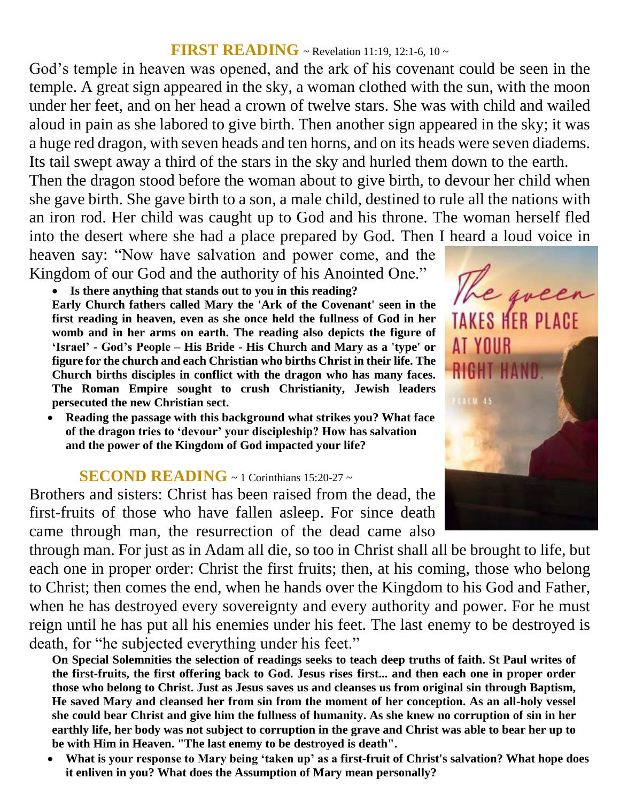#### **FIRST READING** ~ Revelation 11:19, 12:1-6, 10 ~

God's temple in heaven was opened, and the ark of his covenant could be seen in the temple. A great sign appeared in the sky, a woman clothed with the sun, with the moon under her feet, and on her head a crown of twelve stars. She was with child and wailed aloud in pain as she labored to give birth. Then another sign appeared in the sky; it was a huge red dragon, with seven heads and ten horns, and on its heads were seven diadems. Its tail swept away a third of the stars in the sky and hurled them down to the earth.

Then the dragon stood before the woman about to give birth, to devour her child when she gave birth. She gave birth to a son, a male child, destined to rule all the nations with an iron rod. Her child was caught up to God and his throne. The woman herself fled into the desert where she had a place prepared by God. Then I heard a loud voice in

heaven say: "Now have salvation and power come, and the Kingdom of our God and the authority of his Anointed One."

**Is there anything that stands out to you in this reading?**

**Early Church fathers called Mary the 'Ark of the Covenant' seen in the first reading in heaven, even as she once held the fullness of God in her womb and in her arms on earth. The reading also depicts the figure of ʻIsrael' - God's People – His Bride - His Church and Mary as a 'type' or figure for the church and each Christian who births Christ in their life. The Church births disciples in conflict with the dragon who has many faces. The Roman Empire sought to crush Christianity, Jewish leaders persecuted the new Christian sect.**

 **Reading the passage with this background what strikes you? What face of the dragon tries to ʻdevour' your discipleship? How has salvation and the power of the Kingdom of God impacted your life?**

### **SECOND READING** ~ 1 Corinthians 15:20-27 ~

Brothers and sisters: Christ has been raised from the dead, the first-fruits of those who have fallen asleep. For since death came through man, the resurrection of the dead came also

through man. For just as in Adam all die, so too in Christ shall all be brought to life, but each one in proper order: Christ the first fruits; then, at his coming, those who belong to Christ; then comes the end, when he hands over the Kingdom to his God and Father, when he has destroyed every sovereignty and every authority and power. For he must reign until he has put all his enemies under his feet. The last enemy to be destroyed is death, for "he subjected everything under his feet."

**On Special Solemnities the selection of readings seeks to teach deep truths of faith. St Paul writes of the first-fruits, the first offering back to God. Jesus rises first... and then each one in proper order those who belong to Christ. Just as Jesus saves us and cleanses us from original sin through Baptism, He saved Mary and cleansed her from sin from the moment of her conception. As an all-holy vessel she could bear Christ and give him the fullness of humanity. As she knew no corruption of sin in her earthly life, her body was not subject to corruption in the grave and Christ was able to bear her up to be with Him in Heaven. "The last enemy to be destroyed is death".** 

 **What is your response to Mary being ʻtaken up' as a first-fruit of Christ's salvation? What hope does it enliven in you? What does the Assumption of Mary mean personally?**

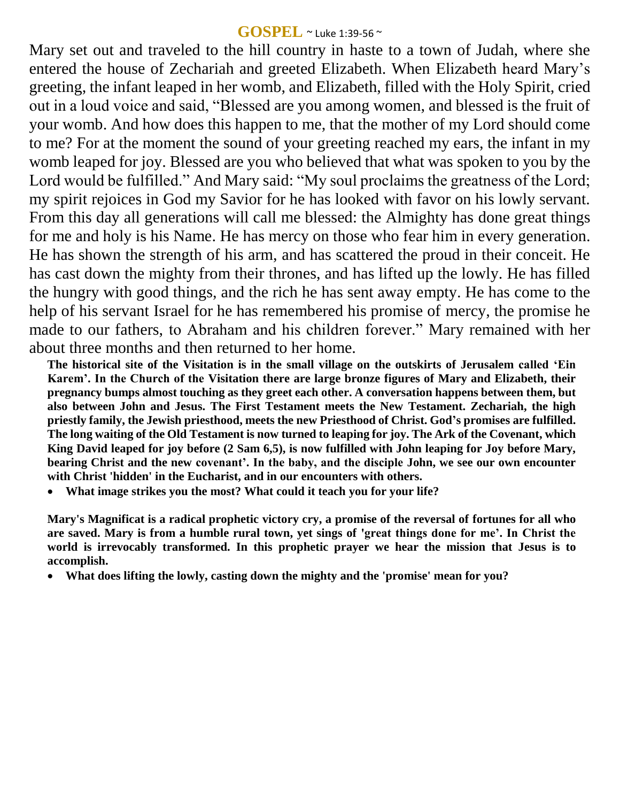#### **GOSPEL** ~ Luke 1:39-56 ~

Mary set out and traveled to the hill country in haste to a town of Judah, where she entered the house of Zechariah and greeted Elizabeth. When Elizabeth heard Mary's greeting, the infant leaped in her womb, and Elizabeth, filled with the Holy Spirit, cried out in a loud voice and said, "Blessed are you among women, and blessed is the fruit of your womb. And how does this happen to me, that the mother of my Lord should come to me? For at the moment the sound of your greeting reached my ears, the infant in my womb leaped for joy. Blessed are you who believed that what was spoken to you by the Lord would be fulfilled." And Mary said: "My soul proclaims the greatness of the Lord; my spirit rejoices in God my Savior for he has looked with favor on his lowly servant. From this day all generations will call me blessed: the Almighty has done great things for me and holy is his Name. He has mercy on those who fear him in every generation. He has shown the strength of his arm, and has scattered the proud in their conceit. He has cast down the mighty from their thrones, and has lifted up the lowly. He has filled the hungry with good things, and the rich he has sent away empty. He has come to the help of his servant Israel for he has remembered his promise of mercy, the promise he made to our fathers, to Abraham and his children forever." Mary remained with her about three months and then returned to her home.

**The historical site of the Visitation is in the small village on the outskirts of Jerusalem called ʻEin Karem'. In the Church of the Visitation there are large bronze figures of Mary and Elizabeth, their pregnancy bumps almost touching as they greet each other. A conversation happens between them, but also between John and Jesus. The First Testament meets the New Testament. Zechariah, the high priestly family, the Jewish priesthood, meets the new Priesthood of Christ. God's promises are fulfilled. The long waiting of the Old Testament is now turned to leaping for joy. The Ark of the Covenant, which King David leaped for joy before (2 Sam 6,5), is now fulfilled with John leaping for Joy before Mary, bearing Christ and the new covenant'. In the baby, and the disciple John, we see our own encounter with Christ 'hidden' in the Eucharist, and in our encounters with others.**

**What image strikes you the most? What could it teach you for your life?**

**Mary's Magnificat is a radical prophetic victory cry, a promise of the reversal of fortunes for all who are saved. Mary is from a humble rural town, yet sings of 'great things done for me'. In Christ the world is irrevocably transformed. In this prophetic prayer we hear the mission that Jesus is to accomplish.** 

**What does lifting the lowly, casting down the mighty and the 'promise' mean for you?**